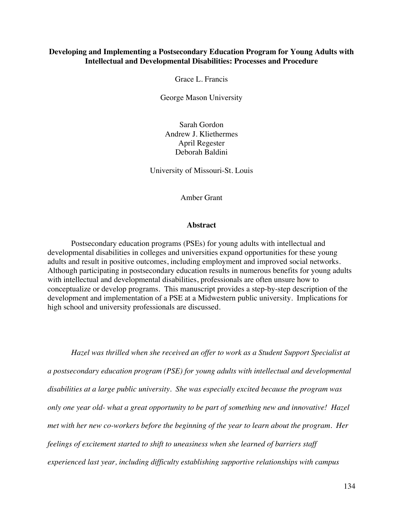# **Developing and Implementing a Postsecondary Education Program for Young Adults with Intellectual and Developmental Disabilities: Processes and Procedure**

Grace L. Francis

George Mason University

Sarah Gordon Andrew J. Kliethermes April Regester Deborah Baldini

University of Missouri-St. Louis

Amber Grant

### **Abstract**

Postsecondary education programs (PSEs) for young adults with intellectual and developmental disabilities in colleges and universities expand opportunities for these young adults and result in positive outcomes, including employment and improved social networks. Although participating in postsecondary education results in numerous benefits for young adults with intellectual and developmental disabilities, professionals are often unsure how to conceptualize or develop programs. This manuscript provides a step-by-step description of the development and implementation of a PSE at a Midwestern public university. Implications for high school and university professionals are discussed.

*Hazel was thrilled when she received an offer to work as a Student Support Specialist at a postsecondary education program (PSE) for young adults with intellectual and developmental disabilities at a large public university. She was especially excited because the program was only one year old- what a great opportunity to be part of something new and innovative! Hazel met with her new co-workers before the beginning of the year to learn about the program. Her feelings of excitement started to shift to uneasiness when she learned of barriers staff experienced last year, including difficulty establishing supportive relationships with campus*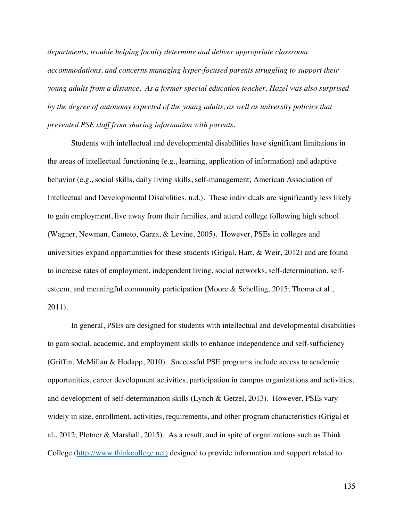*departments, trouble helping faculty determine and deliver appropriate classroom accommodations, and concerns managing hyper-focused parents struggling to support their young adults from a distance. As a former special education teacher, Hazel was also surprised by the degree of autonomy expected of the young adults, as well as university policies that prevented PSE staff from sharing information with parents.* 

Students with intellectual and developmental disabilities have significant limitations in the areas of intellectual functioning (e.g., learning, application of information) and adaptive behavior (e.g., social skills, daily living skills, self-management; American Association of Intellectual and Developmental Disabilities, n.d.). These individuals are significantly less likely to gain employment, live away from their families, and attend college following high school (Wagner, Newman, Cameto, Garza, & Levine, 2005). However, PSEs in colleges and universities expand opportunities for these students (Grigal, Hart, & Weir, 2012) and are found to increase rates of employment, independent living, social networks, self-determination, selfesteem, and meaningful community participation (Moore & Schelling, 2015; Thoma et al., 2011).

In general, PSEs are designed for students with intellectual and developmental disabilities to gain social, academic, and employment skills to enhance independence and self-sufficiency (Griffin, McMillan & Hodapp, 2010). Successful PSE programs include access to academic opportunities, career development activities, participation in campus organizations and activities, and development of self-determination skills (Lynch & Getzel, 2013). However, PSEs vary widely in size, enrollment, activities, requirements, and other program characteristics (Grigal et al., 2012; Plotner & Marshall, 2015). As a result, and in spite of organizations such as Think College (http://www.thinkcollege.net) designed to provide information and support related to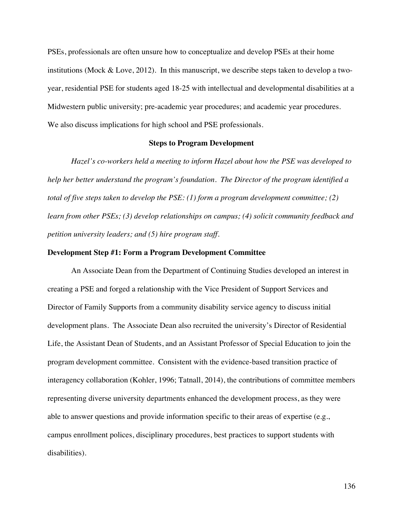PSEs, professionals are often unsure how to conceptualize and develop PSEs at their home institutions (Mock & Love, 2012). In this manuscript, we describe steps taken to develop a twoyear, residential PSE for students aged 18-25 with intellectual and developmental disabilities at a Midwestern public university; pre-academic year procedures; and academic year procedures. We also discuss implications for high school and PSE professionals.

## **Steps to Program Development**

*Hazel's co-workers held a meeting to inform Hazel about how the PSE was developed to help her better understand the program's foundation. The Director of the program identified a total of five steps taken to develop the PSE: (1) form a program development committee; (2) learn from other PSEs; (3) develop relationships on campus; (4) solicit community feedback and petition university leaders; and (5) hire program staff.*

#### **Development Step #1: Form a Program Development Committee**

An Associate Dean from the Department of Continuing Studies developed an interest in creating a PSE and forged a relationship with the Vice President of Support Services and Director of Family Supports from a community disability service agency to discuss initial development plans. The Associate Dean also recruited the university's Director of Residential Life, the Assistant Dean of Students, and an Assistant Professor of Special Education to join the program development committee. Consistent with the evidence-based transition practice of interagency collaboration (Kohler, 1996; Tatnall, 2014), the contributions of committee members representing diverse university departments enhanced the development process, as they were able to answer questions and provide information specific to their areas of expertise (e.g., campus enrollment polices, disciplinary procedures, best practices to support students with disabilities).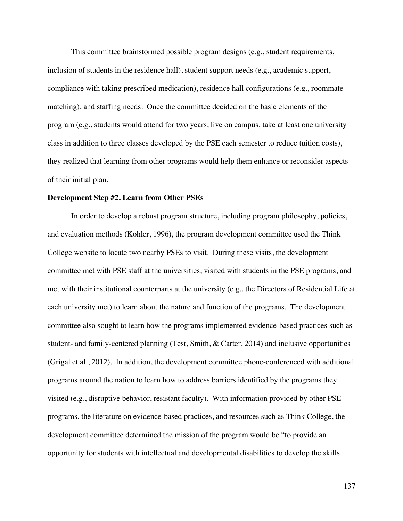This committee brainstormed possible program designs (e.g., student requirements, inclusion of students in the residence hall), student support needs (e.g., academic support, compliance with taking prescribed medication), residence hall configurations (e.g., roommate matching), and staffing needs. Once the committee decided on the basic elements of the program (e.g., students would attend for two years, live on campus, take at least one university class in addition to three classes developed by the PSE each semester to reduce tuition costs), they realized that learning from other programs would help them enhance or reconsider aspects of their initial plan.

#### **Development Step #2. Learn from Other PSEs**

In order to develop a robust program structure, including program philosophy, policies, and evaluation methods (Kohler, 1996), the program development committee used the Think College website to locate two nearby PSEs to visit. During these visits, the development committee met with PSE staff at the universities, visited with students in the PSE programs, and met with their institutional counterparts at the university (e.g., the Directors of Residential Life at each university met) to learn about the nature and function of the programs. The development committee also sought to learn how the programs implemented evidence-based practices such as student- and family-centered planning (Test, Smith, & Carter, 2014) and inclusive opportunities (Grigal et al., 2012). In addition, the development committee phone-conferenced with additional programs around the nation to learn how to address barriers identified by the programs they visited (e.g., disruptive behavior, resistant faculty). With information provided by other PSE programs, the literature on evidence-based practices, and resources such as Think College, the development committee determined the mission of the program would be "to provide an opportunity for students with intellectual and developmental disabilities to develop the skills

137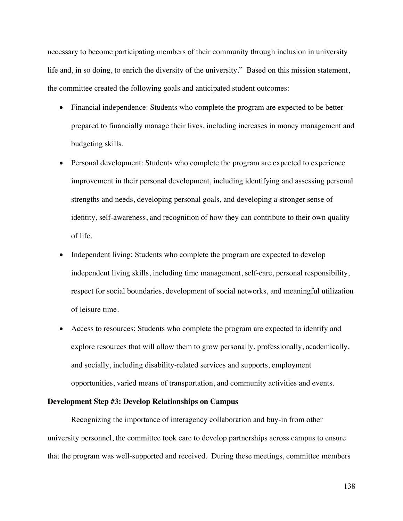necessary to become participating members of their community through inclusion in university life and, in so doing, to enrich the diversity of the university." Based on this mission statement, the committee created the following goals and anticipated student outcomes:

- Financial independence: Students who complete the program are expected to be better prepared to financially manage their lives, including increases in money management and budgeting skills.
- Personal development: Students who complete the program are expected to experience improvement in their personal development, including identifying and assessing personal strengths and needs, developing personal goals, and developing a stronger sense of identity, self-awareness, and recognition of how they can contribute to their own quality of life.
- Independent living: Students who complete the program are expected to develop independent living skills, including time management, self-care, personal responsibility, respect for social boundaries, development of social networks, and meaningful utilization of leisure time.
- Access to resources: Students who complete the program are expected to identify and explore resources that will allow them to grow personally, professionally, academically, and socially, including disability-related services and supports, employment opportunities, varied means of transportation, and community activities and events.

## **Development Step #3: Develop Relationships on Campus**

Recognizing the importance of interagency collaboration and buy-in from other university personnel, the committee took care to develop partnerships across campus to ensure that the program was well-supported and received. During these meetings, committee members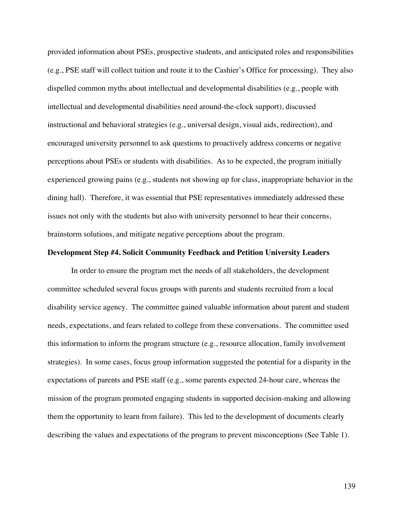provided information about PSEs, prospective students, and anticipated roles and responsibilities (e.g., PSE staff will collect tuition and route it to the Cashier's Office for processing). They also dispelled common myths about intellectual and developmental disabilities (e.g., people with intellectual and developmental disabilities need around-the-clock support), discussed instructional and behavioral strategies (e.g., universal design, visual aids, redirection), and encouraged university personnel to ask questions to proactively address concerns or negative perceptions about PSEs or students with disabilities. As to be expected, the program initially experienced growing pains (e.g., students not showing up for class, inappropriate behavior in the dining hall). Therefore, it was essential that PSE representatives immediately addressed these issues not only with the students but also with university personnel to hear their concerns, brainstorm solutions, and mitigate negative perceptions about the program.

#### **Development Step #4. Solicit Community Feedback and Petition University Leaders**

In order to ensure the program met the needs of all stakeholders, the development committee scheduled several focus groups with parents and students recruited from a local disability service agency. The committee gained valuable information about parent and student needs, expectations, and fears related to college from these conversations. The committee used this information to inform the program structure (e.g., resource allocation, family involvement strategies). In some cases, focus group information suggested the potential for a disparity in the expectations of parents and PSE staff (e.g., some parents expected 24-hour care, whereas the mission of the program promoted engaging students in supported decision-making and allowing them the opportunity to learn from failure). This led to the development of documents clearly describing the values and expectations of the program to prevent misconceptions (See Table 1).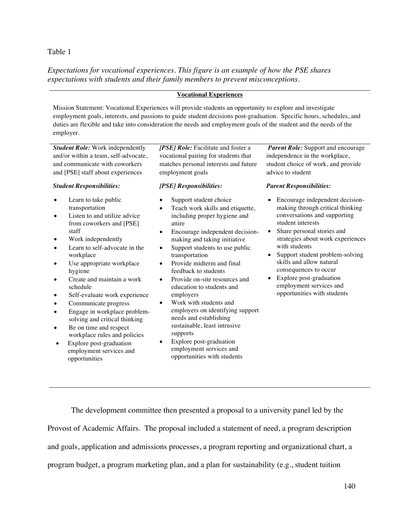# Table 1

*Expectations for vocational experiences. This figure is an example of how the PSE shares expectations with students and their family members to prevent misconceptions.*

## **Vocational Experiences**

Mission Statement: Vocational Experiences will provide students an opportunity to explore and investigate employment goals, interests, and passions to guide student decisions post-graduation. Specific hours, schedules, and duties are flexible and take into consideration the needs and employment goals of the student and the needs of the employer.

*Student Role:* Work independently and/or within a team, self-advocate, and communicate with coworkers and [PSE] staff about experiences

#### *Student Responsibilities:*

- Learn to take public transportation
- Listen to and utilize advice from coworkers and [PSE] staff
- Work independently
- Learn to self-advocate in the workplace
- Use appropriate workplace hygiene
- Create and maintain a work schedule
- Self-evaluate work experience
- Communicate progress
- Engage in workplace problemsolving and critical thinking
- Be on time and respect workplace rules and policies
- Explore post-graduation employment services and opportunities

*[PSE] Role:* Facilitate and foster a vocational pairing for students that matches personal interests and future employment goals

## *[PSE] Responsibilities:*

- Support student choice
- Teach work skills and etiquette, including proper hygiene and attire
- Encourage independent decisionmaking and taking initiative
- Support students to use public transportation
- Provide midterm and final feedback to students
- Provide on-site resources and education to students and employers
- Work with students and employers on identifying support needs and establishing sustainable, least intrusive supports
- Explore post-graduation employment services and opportunities with students

*Parent Role:* Support and encourage independence in the workplace, student choice of work, and provide advice to student

#### *Parent Responsibilities:*

- Encourage independent decisionmaking through critical thinking conversations and supporting student interests
- Share personal stories and strategies about work experiences with students
- Support student problem-solving skills and allow natural consequences to occur
- Explore post-graduation employment services and opportunities with students

The development committee then presented a proposal to a university panel led by the Provost of Academic Affairs. The proposal included a statement of need, a program description and goals, application and admissions processes, a program reporting and organizational chart, a program budget, a program marketing plan, and a plan for sustainability (e.g., student tuition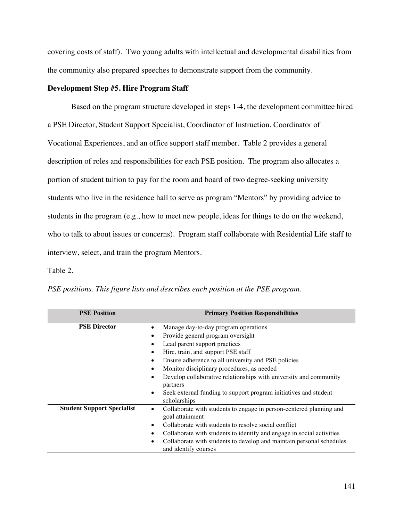covering costs of staff). Two young adults with intellectual and developmental disabilities from the community also prepared speeches to demonstrate support from the community.

# **Development Step #5. Hire Program Staff**

Based on the program structure developed in steps 1-4, the development committee hired a PSE Director, Student Support Specialist, Coordinator of Instruction, Coordinator of Vocational Experiences, and an office support staff member. Table 2 provides a general description of roles and responsibilities for each PSE position. The program also allocates a portion of student tuition to pay for the room and board of two degree-seeking university students who live in the residence hall to serve as program "Mentors" by providing advice to students in the program (e.g., how to meet new people, ideas for things to do on the weekend, who to talk to about issues or concerns). Program staff collaborate with Residential Life staff to interview, select, and train the program Mentors.

## Table 2.

| <b>PSE Position</b>               | <b>Primary Position Responsibilities</b>                                                                                                                                                                                                                                                                                                                                                                                                             |  |
|-----------------------------------|------------------------------------------------------------------------------------------------------------------------------------------------------------------------------------------------------------------------------------------------------------------------------------------------------------------------------------------------------------------------------------------------------------------------------------------------------|--|
| <b>PSE Director</b>               | Manage day-to-day program operations<br>Provide general program oversight<br>Lead parent support practices<br>Hire, train, and support PSE staff<br>Ensure adherence to all university and PSE policies<br>Monitor disciplinary procedures, as needed<br>Develop collaborative relationships with university and community<br>$\bullet$<br>partners<br>Seek external funding to support program initiatives and student<br>$\bullet$<br>scholarships |  |
| <b>Student Support Specialist</b> | Collaborate with students to engage in person-centered planning and<br>goal attainment<br>Collaborate with students to resolve social conflict<br>Collaborate with students to identify and engage in social activities<br>Collaborate with students to develop and maintain personal schedules<br>$\bullet$<br>and identify courses                                                                                                                 |  |

*PSE positions. This figure lists and describes each position at the PSE program.*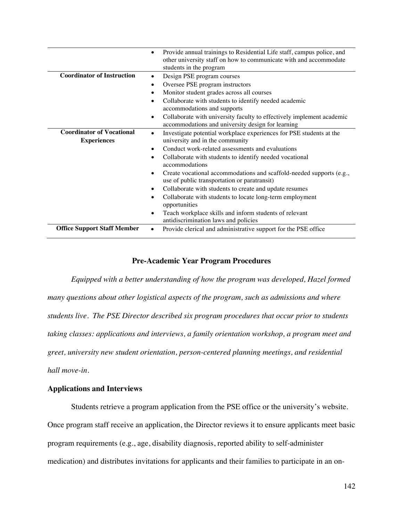|                                    | Provide annual trainings to Residential Life staff, campus police, and<br>other university staff on how to communicate with and accommodate<br>students in the program |
|------------------------------------|------------------------------------------------------------------------------------------------------------------------------------------------------------------------|
| <b>Coordinator of Instruction</b>  | Design PSE program courses<br>$\bullet$                                                                                                                                |
|                                    | Oversee PSE program instructors                                                                                                                                        |
|                                    | Monitor student grades across all courses                                                                                                                              |
|                                    | Collaborate with students to identify needed academic                                                                                                                  |
|                                    | accommodations and supports                                                                                                                                            |
|                                    | Collaborate with university faculty to effectively implement academic<br>٠                                                                                             |
|                                    | accommodations and university design for learning                                                                                                                      |
| <b>Coordinator of Vocational</b>   | Investigate potential workplace experiences for PSE students at the<br>$\bullet$                                                                                       |
| <b>Experiences</b>                 | university and in the community                                                                                                                                        |
|                                    | Conduct work-related assessments and evaluations<br>$\bullet$                                                                                                          |
|                                    | Collaborate with students to identify needed vocational                                                                                                                |
|                                    | accommodations                                                                                                                                                         |
|                                    | Create vocational accommodations and scaffold-needed supports (e.g.,<br>use of public transportation or paratransit)                                                   |
|                                    | Collaborate with students to create and update resumes                                                                                                                 |
|                                    | Collaborate with students to locate long-term employment<br>opportunities                                                                                              |
|                                    | Teach workplace skills and inform students of relevant                                                                                                                 |
|                                    | antidiscrimination laws and policies                                                                                                                                   |
| <b>Office Support Staff Member</b> | Provide clerical and administrative support for the PSE office                                                                                                         |

# **Pre-Academic Year Program Procedures**

*Equipped with a better understanding of how the program was developed, Hazel formed many questions about other logistical aspects of the program, such as admissions and where students live. The PSE Director described six program procedures that occur prior to students taking classes: applications and interviews, a family orientation workshop, a program meet and greet, university new student orientation, person-centered planning meetings, and residential hall move-in.*

# **Applications and Interviews**

Students retrieve a program application from the PSE office or the university's website. Once program staff receive an application, the Director reviews it to ensure applicants meet basic program requirements (e.g., age, disability diagnosis, reported ability to self-administer

medication) and distributes invitations for applicants and their families to participate in an on-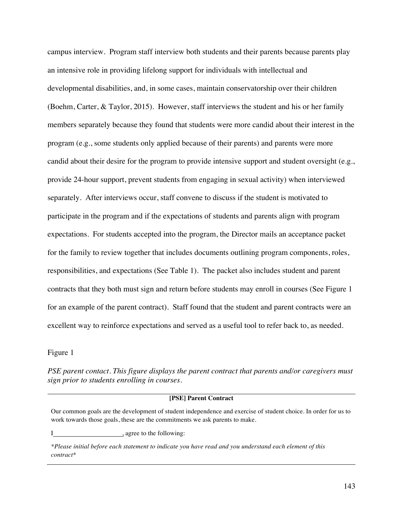campus interview. Program staff interview both students and their parents because parents play an intensive role in providing lifelong support for individuals with intellectual and developmental disabilities, and, in some cases, maintain conservatorship over their children (Boehm, Carter, & Taylor, 2015). However, staff interviews the student and his or her family members separately because they found that students were more candid about their interest in the program (e.g., some students only applied because of their parents) and parents were more candid about their desire for the program to provide intensive support and student oversight (e.g., provide 24-hour support, prevent students from engaging in sexual activity) when interviewed separately. After interviews occur, staff convene to discuss if the student is motivated to participate in the program and if the expectations of students and parents align with program expectations. For students accepted into the program, the Director mails an acceptance packet for the family to review together that includes documents outlining program components, roles, responsibilities, and expectations (See Table 1). The packet also includes student and parent contracts that they both must sign and return before students may enroll in courses (See Figure 1 for an example of the parent contract). Staff found that the student and parent contracts were an excellent way to reinforce expectations and served as a useful tool to refer back to, as needed.

## Figure 1

*PSE parent contact. This figure displays the parent contract that parents and/or caregivers must sign prior to students enrolling in courses.*

#### **[PSE] Parent Contract**

Our common goals are the development of student independence and exercise of student choice. In order for us to work towards those goals, these are the commitments we ask parents to make.

I , agree to the following:

*\*Please initial before each statement to indicate you have read and you understand each element of this contract\**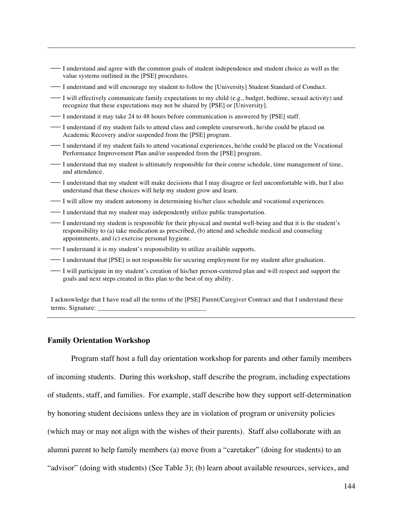- ¾ I understand and agree with the common goals of student independence and student choice as well as the value systems outlined in the [PSE] procedures.
- I understand and will encourage my student to follow the [University] Student Standard of Conduct.
- ¾ I will effectively communicate family expectations to my child (e.g., budget, bedtime, sexual activity) and recognize that these expectations may not be shared by [PSE] or [University].
- ¾ I understand it may take 24 to 48 hours before communication is answered by [PSE] staff.
- $\overline{\phantom{a}}$  I understand if my student fails to attend class and complete coursework, he/she could be placed on Academic Recovery and/or suspended from the [PSE] program.
- ¾ I understand if my student fails to attend vocational experiences, he/she could be placed on the Vocational Performance Improvement Plan and/or suspended from the [PSE] program.
- ¾ I understand that my student is ultimately responsible for their course schedule, time management of time, and attendance.
- ¾ I understand that my student will make decisions that I may disagree or feel uncomfortable with, but I also understand that these choices will help my student grow and learn.
- $\overline{\phantom{a}}$  I will allow my student autonomy in determining his/her class schedule and vocational experiences.
- ¾ I understand that my student may independently utilize public transportation.
- ¾ I understand my student is responsible for their physical and mental well-being and that it is the student's responsibility to (a) take medication as prescribed, (b) attend and schedule medical and counseling appointments, and (c) exercise personal hygiene.
- I understand it is my student's responsibility to utilize available supports.
- ¾ I understand that [PSE] is not responsible for securing employment for my student after graduation.
- ¾ I will participate in my student's creation of his/her person-centered plan and will respect and support the goals and next steps created in this plan to the best of my ability.

I acknowledge that I have read all the terms of the [PSE] Parent/Caregiver Contract and that I understand these terms. Signature:

### **Family Orientation Workshop**

Program staff host a full day orientation workshop for parents and other family members of incoming students. During this workshop, staff describe the program, including expectations of students, staff, and families. For example, staff describe how they support self-determination by honoring student decisions unless they are in violation of program or university policies (which may or may not align with the wishes of their parents). Staff also collaborate with an alumni parent to help family members (a) move from a "caretaker" (doing for students) to an "advisor" (doing with students) (See Table 3); (b) learn about available resources, services, and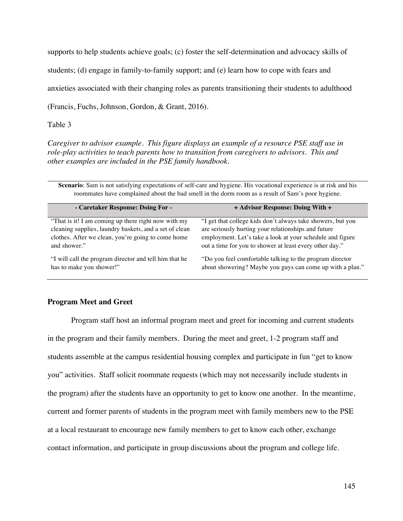supports to help students achieve goals; (c) foster the self-determination and advocacy skills of

students; (d) engage in family-to-family support; and (e) learn how to cope with fears and

anxieties associated with their changing roles as parents transitioning their students to adulthood

(Francis, Fuchs, Johnson, Gordon, & Grant, 2016).

Table 3

*Caregiver to advisor example. This figure displays an example of a resource PSE staff use in role-play activities to teach parents how to transition from caregivers to advisors. This and other examples are included in the PSE family handbook.*

**Scenario**: Sam is not satisfying expectations of self-care and hygiene. His vocational experience is at risk and his roommates have complained about the bad smell in the dorm room as a result of Sam's poor hygiene.

| - Caretaker Response: Doing For -                      | + Advisor Response: Doing With +                            |
|--------------------------------------------------------|-------------------------------------------------------------|
| "That is it! I am coming up there right now with my    | "I get that college kids don't always take showers, but you |
| cleaning supplies, laundry baskets, and a set of clean | are seriously hurting your relationships and future         |
| clothes. After we clean, you're going to come home     | employment. Let's take a look at your schedule and figure   |
| and shower."                                           | out a time for you to shower at least every other day."     |
| "I will call the program director and tell him that he | "Do you feel comfortable talking to the program director"   |
| has to make you shower!"                               | about showering? Maybe you guys can come up with a plan."   |

# **Program Meet and Greet**

Program staff host an informal program meet and greet for incoming and current students in the program and their family members. During the meet and greet, 1-2 program staff and students assemble at the campus residential housing complex and participate in fun "get to know you" activities. Staff solicit roommate requests (which may not necessarily include students in the program) after the students have an opportunity to get to know one another. In the meantime, current and former parents of students in the program meet with family members new to the PSE at a local restaurant to encourage new family members to get to know each other, exchange contact information, and participate in group discussions about the program and college life.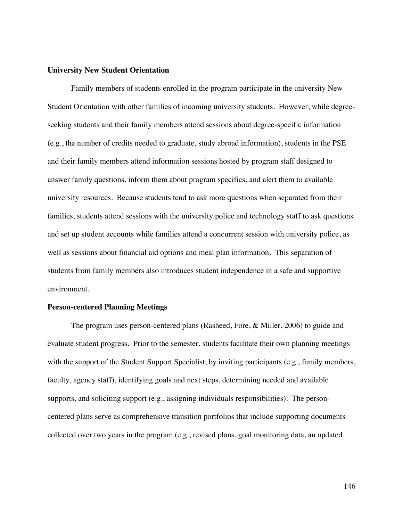## **University New Student Orientation**

Family members of students enrolled in the program participate in the university New Student Orientation with other families of incoming university students. However, while degreeseeking students and their family members attend sessions about degree-specific information (e.g., the number of credits needed to graduate, study abroad information), students in the PSE and their family members attend information sessions hosted by program staff designed to answer family questions, inform them about program specifics, and alert them to available university resources. Because students tend to ask more questions when separated from their families, students attend sessions with the university police and technology staff to ask questions and set up student accounts while families attend a concurrent session with university police, as well as sessions about financial aid options and meal plan information. This separation of students from family members also introduces student independence in a safe and supportive environment.

## **Person-centered Planning Meetings**

 The program uses person-centered plans (Rasheed, Fore, & Miller, 2006) to guide and evaluate student progress. Prior to the semester, students facilitate their own planning meetings with the support of the Student Support Specialist, by inviting participants (e.g., family members, faculty, agency staff), identifying goals and next steps, determining needed and available supports, and soliciting support (e.g., assigning individuals responsibilities). The personcentered plans serve as comprehensive transition portfolios that include supporting documents collected over two years in the program (e.g., revised plans, goal monitoring data, an updated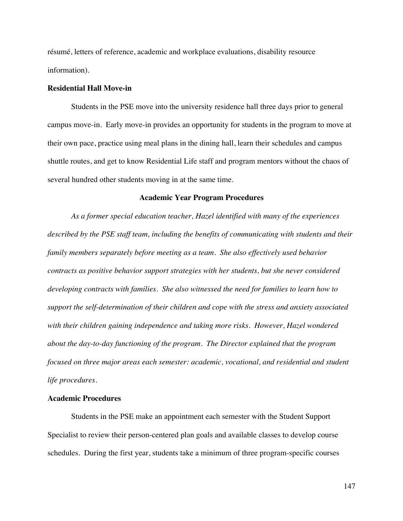résumé, letters of reference, academic and workplace evaluations, disability resource information).

### **Residential Hall Move-in**

 Students in the PSE move into the university residence hall three days prior to general campus move-in. Early move-in provides an opportunity for students in the program to move at their own pace, practice using meal plans in the dining hall, learn their schedules and campus shuttle routes, and get to know Residential Life staff and program mentors without the chaos of several hundred other students moving in at the same time.

#### **Academic Year Program Procedures**

*As a former special education teacher, Hazel identified with many of the experiences described by the PSE staff team, including the benefits of communicating with students and their family members separately before meeting as a team. She also effectively used behavior contracts as positive behavior support strategies with her students, but she never considered developing contracts with families. She also witnessed the need for families to learn how to support the self-determination of their children and cope with the stress and anxiety associated with their children gaining independence and taking more risks. However, Hazel wondered about the day-to-day functioning of the program. The Director explained that the program focused on three major areas each semester: academic, vocational, and residential and student life procedures.*

## **Academic Procedures**

Students in the PSE make an appointment each semester with the Student Support Specialist to review their person-centered plan goals and available classes to develop course schedules. During the first year, students take a minimum of three program-specific courses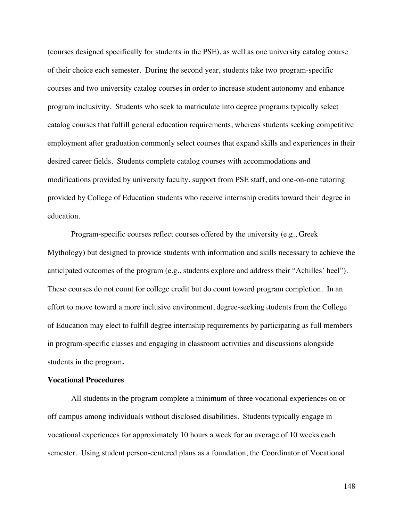(courses designed specifically for students in the PSE), as well as one university catalog course of their choice each semester. During the second year, students take two program-specific courses and two university catalog courses in order to increase student autonomy and enhance program inclusivity. Students who seek to matriculate into degree programs typically select catalog courses that fulfill general education requirements, whereas students seeking competitive employment after graduation commonly select courses that expand skills and experiences in their desired career fields. Students complete catalog courses with accommodations and modifications provided by university faculty, support from PSE staff, and one-on-one tutoring provided by College of Education students who receive internship credits toward their degree in education.

Program-specific courses reflect courses offered by the university (e.g., Greek Mythology) but designed to provide students with information and skills necessary to achieve the anticipated outcomes of the program (e.g., students explore and address their "Achilles' heel"). These courses do not count for college credit but do count toward program completion. In an effort to move toward a more inclusive environment, degree-seeking students from the College of Education may elect to fulfill degree internship requirements by participating as full members in program-specific classes and engaging in classroom activities and discussions alongside students in the program**.** 

# **Vocational Procedures**

All students in the program complete a minimum of three vocational experiences on or off campus among individuals without disclosed disabilities. Students typically engage in vocational experiences for approximately 10 hours a week for an average of 10 weeks each semester. Using student person-centered plans as a foundation, the Coordinator of Vocational

148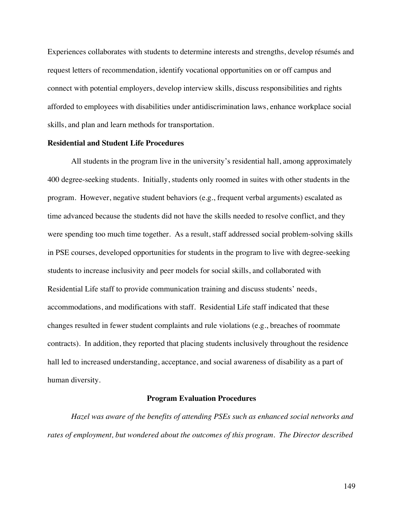Experiences collaborates with students to determine interests and strengths, develop résumés and request letters of recommendation, identify vocational opportunities on or off campus and connect with potential employers, develop interview skills, discuss responsibilities and rights afforded to employees with disabilities under antidiscrimination laws, enhance workplace social skills, and plan and learn methods for transportation.

### **Residential and Student Life Procedures**

All students in the program live in the university's residential hall, among approximately 400 degree-seeking students. Initially, students only roomed in suites with other students in the program. However, negative student behaviors (e.g., frequent verbal arguments) escalated as time advanced because the students did not have the skills needed to resolve conflict, and they were spending too much time together. As a result, staff addressed social problem-solving skills in PSE courses, developed opportunities for students in the program to live with degree-seeking students to increase inclusivity and peer models for social skills, and collaborated with Residential Life staff to provide communication training and discuss students' needs, accommodations, and modifications with staff. Residential Life staff indicated that these changes resulted in fewer student complaints and rule violations (e.g., breaches of roommate contracts). In addition, they reported that placing students inclusively throughout the residence hall led to increased understanding, acceptance, and social awareness of disability as a part of human diversity.

## **Program Evaluation Procedures**

*Hazel was aware of the benefits of attending PSEs such as enhanced social networks and rates of employment, but wondered about the outcomes of this program. The Director described*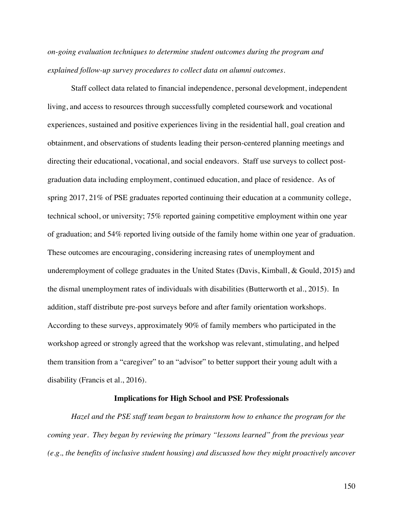*on-going evaluation techniques to determine student outcomes during the program and explained follow-up survey procedures to collect data on alumni outcomes.*

Staff collect data related to financial independence, personal development, independent living, and access to resources through successfully completed coursework and vocational experiences, sustained and positive experiences living in the residential hall, goal creation and obtainment, and observations of students leading their person-centered planning meetings and directing their educational, vocational, and social endeavors. Staff use surveys to collect postgraduation data including employment, continued education, and place of residence. As of spring 2017, 21% of PSE graduates reported continuing their education at a community college, technical school, or university; 75% reported gaining competitive employment within one year of graduation; and 54% reported living outside of the family home within one year of graduation. These outcomes are encouraging, considering increasing rates of unemployment and underemployment of college graduates in the United States (Davis, Kimball, & Gould, 2015) and the dismal unemployment rates of individuals with disabilities (Butterworth et al., 2015). In addition, staff distribute pre-post surveys before and after family orientation workshops. According to these surveys, approximately 90% of family members who participated in the workshop agreed or strongly agreed that the workshop was relevant, stimulating, and helped them transition from a "caregiver" to an "advisor" to better support their young adult with a disability (Francis et al., 2016).

# **Implications for High School and PSE Professionals**

*Hazel and the PSE staff team began to brainstorm how to enhance the program for the coming year. They began by reviewing the primary "lessons learned" from the previous year (e.g., the benefits of inclusive student housing) and discussed how they might proactively uncover*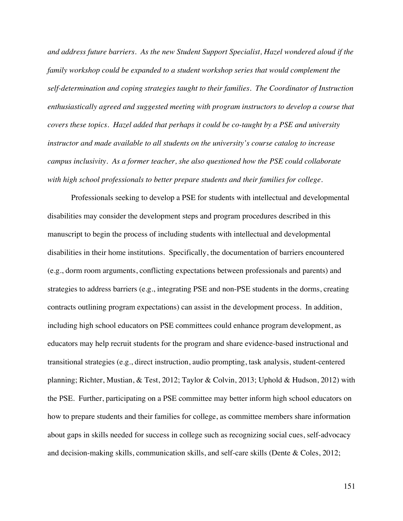*and address future barriers. As the new Student Support Specialist, Hazel wondered aloud if the family workshop could be expanded to a student workshop series that would complement the self-determination and coping strategies taught to their families. The Coordinator of Instruction enthusiastically agreed and suggested meeting with program instructors to develop a course that covers these topics. Hazel added that perhaps it could be co-taught by a PSE and university instructor and made available to all students on the university's course catalog to increase campus inclusivity. As a former teacher, she also questioned how the PSE could collaborate with high school professionals to better prepare students and their families for college.* 

Professionals seeking to develop a PSE for students with intellectual and developmental disabilities may consider the development steps and program procedures described in this manuscript to begin the process of including students with intellectual and developmental disabilities in their home institutions. Specifically, the documentation of barriers encountered (e.g., dorm room arguments, conflicting expectations between professionals and parents) and strategies to address barriers (e.g., integrating PSE and non-PSE students in the dorms, creating contracts outlining program expectations) can assist in the development process. In addition, including high school educators on PSE committees could enhance program development, as educators may help recruit students for the program and share evidence-based instructional and transitional strategies (e.g., direct instruction, audio prompting, task analysis, student-centered planning; Richter, Mustian, & Test, 2012; Taylor & Colvin, 2013; Uphold & Hudson, 2012) with the PSE. Further, participating on a PSE committee may better inform high school educators on how to prepare students and their families for college, as committee members share information about gaps in skills needed for success in college such as recognizing social cues, self-advocacy and decision-making skills, communication skills, and self-care skills (Dente & Coles, 2012;

151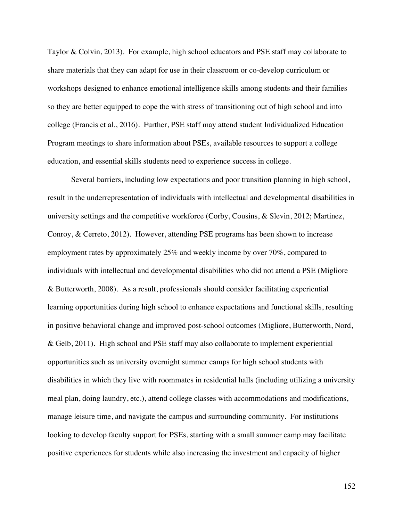Taylor & Colvin, 2013). For example, high school educators and PSE staff may collaborate to share materials that they can adapt for use in their classroom or co-develop curriculum or workshops designed to enhance emotional intelligence skills among students and their families so they are better equipped to cope the with stress of transitioning out of high school and into college (Francis et al., 2016). Further, PSE staff may attend student Individualized Education Program meetings to share information about PSEs, available resources to support a college education, and essential skills students need to experience success in college.

Several barriers, including low expectations and poor transition planning in high school, result in the underrepresentation of individuals with intellectual and developmental disabilities in university settings and the competitive workforce (Corby, Cousins, & Slevin, 2012; Martinez, Conroy, & Cerreto, 2012). However, attending PSE programs has been shown to increase employment rates by approximately 25% and weekly income by over 70%, compared to individuals with intellectual and developmental disabilities who did not attend a PSE (Migliore & Butterworth, 2008). As a result, professionals should consider facilitating experiential learning opportunities during high school to enhance expectations and functional skills, resulting in positive behavioral change and improved post-school outcomes (Migliore, Butterworth, Nord, & Gelb, 2011).High school and PSE staff may also collaborate to implement experiential opportunities such as university overnight summer camps for high school students with disabilities in which they live with roommates in residential halls (including utilizing a university meal plan, doing laundry, etc.), attend college classes with accommodations and modifications, manage leisure time, and navigate the campus and surrounding community. For institutions looking to develop faculty support for PSEs, starting with a small summer camp may facilitate positive experiences for students while also increasing the investment and capacity of higher

152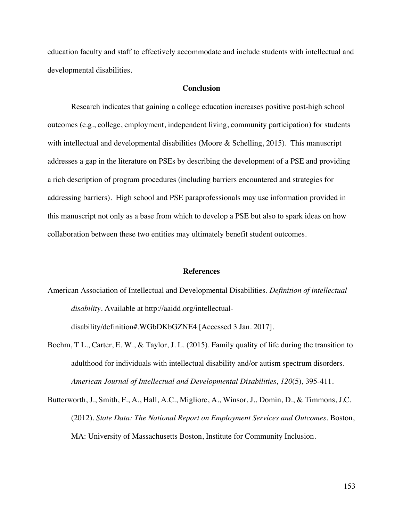education faculty and staff to effectively accommodate and include students with intellectual and developmental disabilities.

# **Conclusion**

Research indicates that gaining a college education increases positive post-high school outcomes (e.g., college, employment, independent living, community participation) for students with intellectual and developmental disabilities (Moore & Schelling, 2015). This manuscript addresses a gap in the literature on PSEs by describing the development of a PSE and providing a rich description of program procedures (including barriers encountered and strategies for addressing barriers). High school and PSE paraprofessionals may use information provided in this manuscript not only as a base from which to develop a PSE but also to spark ideas on how collaboration between these two entities may ultimately benefit student outcomes.

#### **References**

American Association of Intellectual and Developmental Disabilities. *Definition of intellectual disability*. Available at http://aaidd.org/intellectual-

disability/definition#.WGbDKbGZNE4 [Accessed 3 Jan. 2017].

- Boehm, T L., Carter, E. W., & Taylor, J. L. (2015). Family quality of life during the transition to adulthood for individuals with intellectual disability and/or autism spectrum disorders. *American Journal of Intellectual and Developmental Disabilities, 120*(5), 395-411.
- Butterworth, J., Smith, F., A., Hall, A.C., Migliore, A., Winsor, J., Domin, D., & Timmons, J.C. (2012). *State Data: The National Report on Employment Services and Outcomes.* Boston, MA: University of Massachusetts Boston, Institute for Community Inclusion.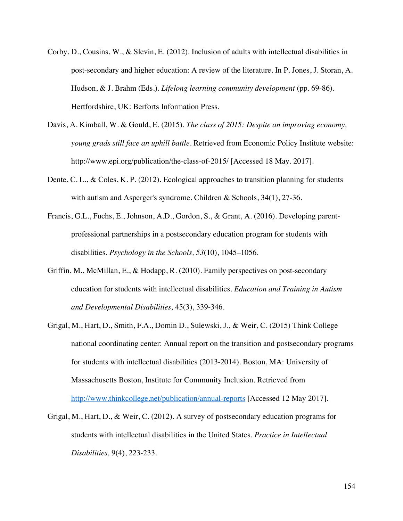- Corby, D., Cousins, W., & Slevin, E. (2012). Inclusion of adults with intellectual disabilities in post-secondary and higher education: A review of the literature. In P. Jones, J. Storan, A. Hudson, & J. Brahm (Eds.). *Lifelong learning community development* (pp. 69-86). Hertfordshire, UK: Berforts Information Press.
- Davis, A. Kimball, W. & Gould, E. (2015). *The class of 2015: Despite an improving economy, young grads still face an uphill battle*. Retrieved from Economic Policy Institute website: http://www.epi.org/publication/the-class-of-2015/ [Accessed 18 May. 2017].
- Dente, C. L., & Coles, K. P. (2012). Ecological approaches to transition planning for students with autism and Asperger's syndrome. Children & Schools, 34(1), 27-36.
- Francis, G.L., Fuchs, E., Johnson, A.D., Gordon, S., & Grant, A. (2016). Developing parentprofessional partnerships in a postsecondary education program for students with disabilities. *Psychology in the Schools, 53*(10), 1045–1056.
- Griffin, M., McMillan, E., & Hodapp, R. (2010). Family perspectives on post-secondary education for students with intellectual disabilities. *Education and Training in Autism and Developmental Disabilities,* 45(3), 339-346.
- Grigal, M., Hart, D., Smith, F.A., Domin D., Sulewski, J., & Weir, C. (2015) Think College national coordinating center: Annual report on the transition and postsecondary programs for students with intellectual disabilities (2013-2014). Boston, MA: University of Massachusetts Boston, Institute for Community Inclusion. Retrieved from http://www.thinkcollege.net/publication/annual-reports [Accessed 12 May 2017].
- Grigal, M., Hart, D., & Weir, C. (2012). A survey of postsecondary education programs for students with intellectual disabilities in the United States. *Practice in Intellectual Disabilities,* 9(4), 223-233.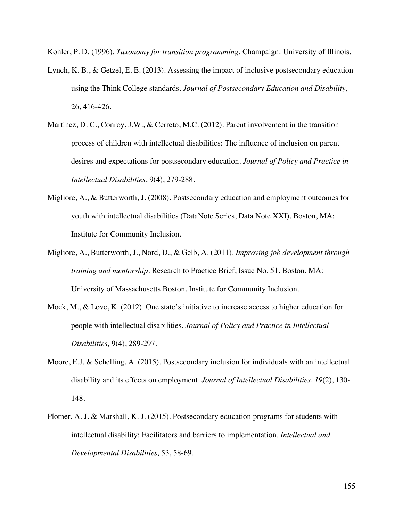Kohler, P. D. (1996). *Taxonomy for transition programming*. Champaign: University of Illinois.

- Lynch, K. B., & Getzel, E. E. (2013). Assessing the impact of inclusive postsecondary education using the Think College standards. *Journal of Postsecondary Education and Disability,*  26, 416-426.
- Martinez, D. C., Conroy, J.W., & Cerreto, M.C. (2012). Parent involvement in the transition process of children with intellectual disabilities: The influence of inclusion on parent desires and expectations for postsecondary education. *Journal of Policy and Practice in Intellectual Disabilities*, 9(4), 279-288.
- Migliore, A., & Butterworth, J. (2008). Postsecondary education and employment outcomes for youth with intellectual disabilities (DataNote Series, Data Note XXI). Boston, MA: Institute for Community Inclusion.
- Migliore, A., Butterworth, J., Nord, D., & Gelb, A. (2011). *Improving job development through training and mentorship.* Research to Practice Brief, Issue No. 51. Boston, MA: University of Massachusetts Boston, Institute for Community Inclusion.
- Mock, M., & Love, K. (2012). One state's initiative to increase access to higher education for people with intellectual disabilities. *Journal of Policy and Practice in Intellectual Disabilities,* 9(4), 289-297.
- Moore, E.J. & Schelling, A. (2015). Postsecondary inclusion for individuals with an intellectual disability and its effects on employment. *Journal of Intellectual Disabilities, 19*(2), 130- 148.
- Plotner, A. J. & Marshall, K. J. (2015). Postsecondary education programs for students with intellectual disability: Facilitators and barriers to implementation. *Intellectual and Developmental Disabilities,* 53, 58-69.